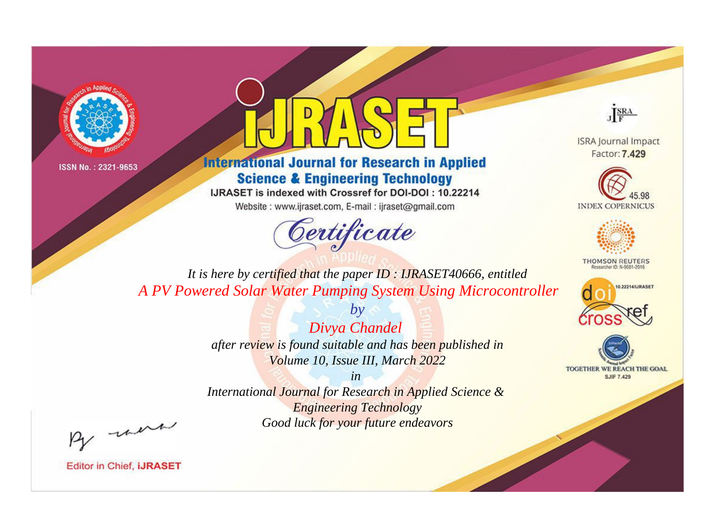



**International Journal for Research in Applied Science & Engineering Technology** 

IJRASET is indexed with Crossref for DOI-DOI: 10.22214

Website: www.ijraset.com, E-mail: ijraset@gmail.com



JERA

**ISRA Journal Impact** Factor: 7.429





**THOMSON REUTERS** 



TOGETHER WE REACH THE GOAL **SJIF 7.429** 

*It is here by certified that the paper ID : IJRASET40666, entitled A PV Powered Solar Water Pumping System Using Microcontroller*

> *Divya Chandel after review is found suitable and has been published in Volume 10, Issue III, March 2022*

*by*

*in* 

*International Journal for Research in Applied Science & Engineering Technology Good luck for your future endeavors*

By morn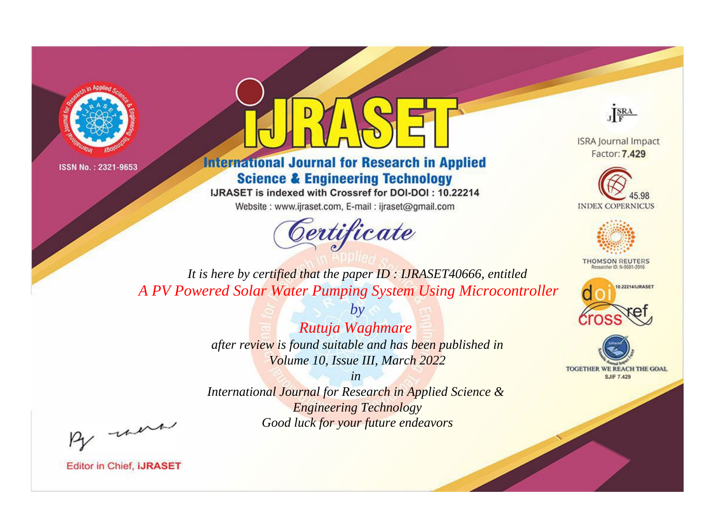



**International Journal for Research in Applied Science & Engineering Technology** 

IJRASET is indexed with Crossref for DOI-DOI: 10.22214

Website: www.ijraset.com, E-mail: ijraset@gmail.com



JERA

**ISRA Journal Impact** Factor: 7.429





**THOMSON REUTERS** 



TOGETHER WE REACH THE GOAL **SJIF 7.429** 

*It is here by certified that the paper ID : IJRASET40666, entitled A PV Powered Solar Water Pumping System Using Microcontroller*

> *Rutuja Waghmare after review is found suitable and has been published in Volume 10, Issue III, March 2022*

*by*

*in* 

*International Journal for Research in Applied Science & Engineering Technology Good luck for your future endeavors*

By morn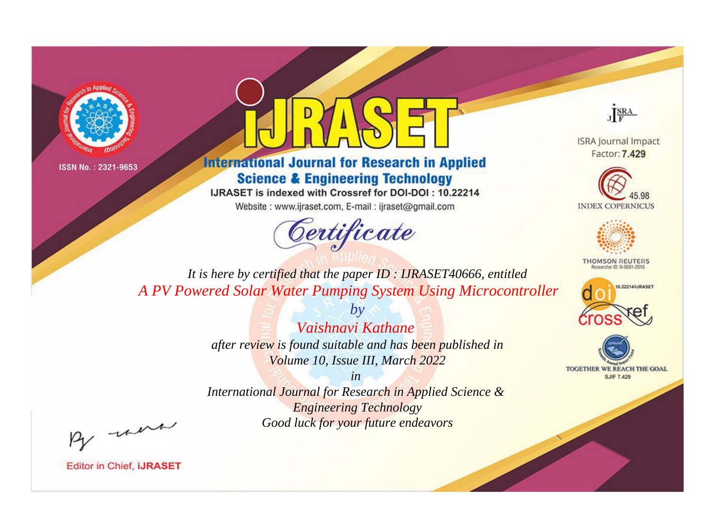



**International Journal for Research in Applied Science & Engineering Technology** 

IJRASET is indexed with Crossref for DOI-DOI: 10.22214

Website: www.ijraset.com, E-mail: ijraset@gmail.com



JERA

**ISRA Journal Impact** Factor: 7.429





**THOMSON REUTERS** 



TOGETHER WE REACH THE GOAL **SJIF 7.429** 

It is here by certified that the paper ID: IJRASET40666, entitled A PV Powered Solar Water Pumping System Using Microcontroller

> Vaishnavi Kathane after review is found suitable and has been published in Volume 10, Issue III, March 2022

 $b\nu$ 

 $in$ International Journal for Research in Applied Science & **Engineering Technology** Good luck for your future endeavors

By morn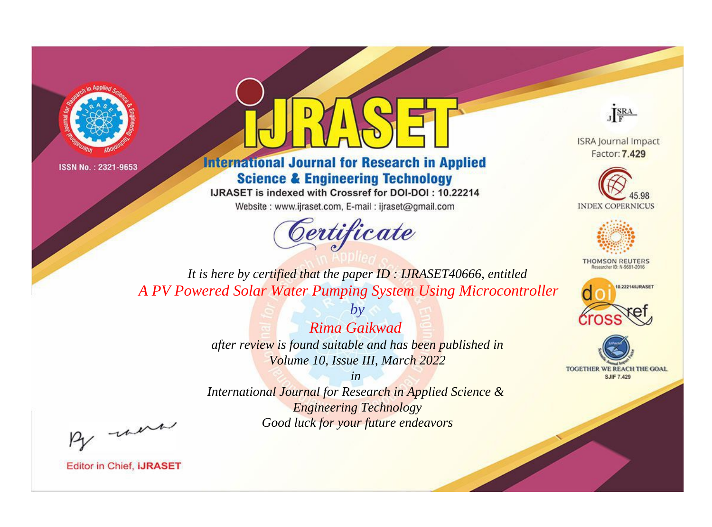



**International Journal for Research in Applied Science & Engineering Technology** 

IJRASET is indexed with Crossref for DOI-DOI: 10.22214

Website: www.ijraset.com, E-mail: ijraset@gmail.com



JERA

**ISRA Journal Impact** Factor: 7.429





**THOMSON REUTERS** 



TOGETHER WE REACH THE GOAL **SJIF 7.429** 

*It is here by certified that the paper ID : IJRASET40666, entitled A PV Powered Solar Water Pumping System Using Microcontroller*

> *Rima Gaikwad after review is found suitable and has been published in Volume 10, Issue III, March 2022*

*by*

*in* 

*International Journal for Research in Applied Science & Engineering Technology Good luck for your future endeavors*

By morn